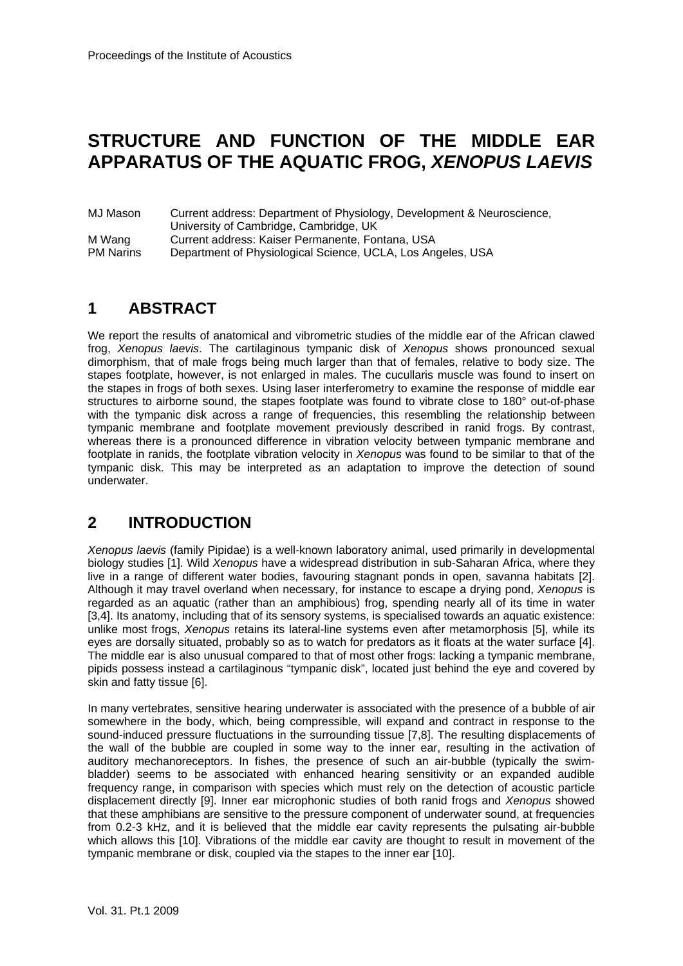# **STRUCTURE AND FUNCTION OF THE MIDDLE EAR APPARATUS OF THE AQUATIC FROG,** *XENOPUS LAEVIS*

MJ Mason Current address: Department of Physiology, Development & Neuroscience, University of Cambridge, Cambridge, UK M Wang Current address: Kaiser Permanente, Fontana, USA PM Narins Department of Physiological Science, UCLA, Los Angeles, USA

# **1 ABSTRACT**

We report the results of anatomical and vibrometric studies of the middle ear of the African clawed frog, *Xenopus laevis*. The cartilaginous tympanic disk of *Xenopus* shows pronounced sexual dimorphism, that of male frogs being much larger than that of females, relative to body size. The stapes footplate, however, is not enlarged in males. The cucullaris muscle was found to insert on the stapes in frogs of both sexes. Using laser interferometry to examine the response of middle ear structures to airborne sound, the stapes footplate was found to vibrate close to 180° out-of-phase with the tympanic disk across a range of frequencies, this resembling the relationship between tympanic membrane and footplate movement previously described in ranid frogs. By contrast, whereas there is a pronounced difference in vibration velocity between tympanic membrane and footplate in ranids, the footplate vibration velocity in *Xenopus* was found to be similar to that of the tympanic disk. This may be interpreted as an adaptation to improve the detection of sound underwater.

## **2 INTRODUCTION**

*Xenopus laevis* (family Pipidae) is a well-known laboratory animal, used primarily in developmental biology studies [1]. Wild *Xenopus* have a widespread distribution in sub-Saharan Africa, where they live in a range of different water bodies, favouring stagnant ponds in open, savanna habitats [2]. Although it may travel overland when necessary, for instance to escape a drying pond, *Xenopus* is regarded as an aquatic (rather than an amphibious) frog, spending nearly all of its time in water [3,4]. Its anatomy, including that of its sensory systems, is specialised towards an aquatic existence: unlike most frogs, *Xenopus* retains its lateral-line systems even after metamorphosis [5], while its eyes are dorsally situated, probably so as to watch for predators as it floats at the water surface [4]. The middle ear is also unusual compared to that of most other frogs: lacking a tympanic membrane, pipids possess instead a cartilaginous "tympanic disk", located just behind the eye and covered by skin and fatty tissue [6].

In many vertebrates, sensitive hearing underwater is associated with the presence of a bubble of air somewhere in the body, which, being compressible, will expand and contract in response to the sound-induced pressure fluctuations in the surrounding tissue [7,8]. The resulting displacements of the wall of the bubble are coupled in some way to the inner ear, resulting in the activation of auditory mechanoreceptors. In fishes, the presence of such an air-bubble (typically the swimbladder) seems to be associated with enhanced hearing sensitivity or an expanded audible frequency range, in comparison with species which must rely on the detection of acoustic particle displacement directly [9]. Inner ear microphonic studies of both ranid frogs and *Xenopus* showed that these amphibians are sensitive to the pressure component of underwater sound, at frequencies from 0.2-3 kHz, and it is believed that the middle ear cavity represents the pulsating air-bubble which allows this [10]. Vibrations of the middle ear cavity are thought to result in movement of the tympanic membrane or disk, coupled via the stapes to the inner ear [10].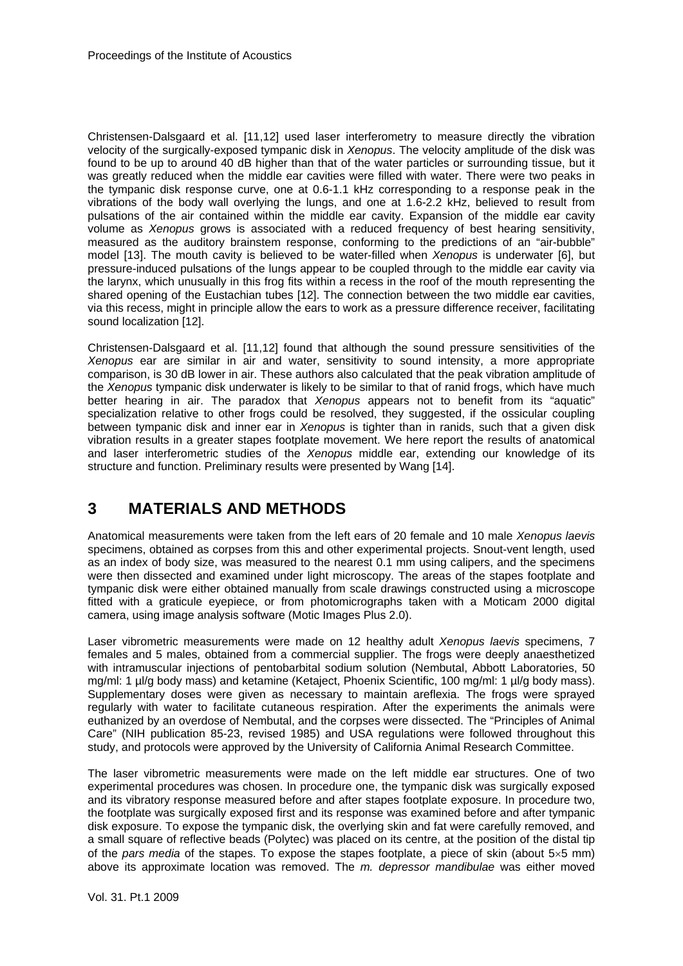Christensen-Dalsgaard et al. [11,12] used laser interferometry to measure directly the vibration velocity of the surgically-exposed tympanic disk in *Xenopus*. The velocity amplitude of the disk was found to be up to around 40 dB higher than that of the water particles or surrounding tissue, but it was greatly reduced when the middle ear cavities were filled with water. There were two peaks in the tympanic disk response curve, one at 0.6-1.1 kHz corresponding to a response peak in the vibrations of the body wall overlying the lungs, and one at 1.6-2.2 kHz, believed to result from pulsations of the air contained within the middle ear cavity. Expansion of the middle ear cavity volume as *Xenopus* grows is associated with a reduced frequency of best hearing sensitivity, measured as the auditory brainstem response, conforming to the predictions of an "air-bubble" model [13]. The mouth cavity is believed to be water-filled when *Xenopus* is underwater [6], but pressure-induced pulsations of the lungs appear to be coupled through to the middle ear cavity via the larynx, which unusually in this frog fits within a recess in the roof of the mouth representing the shared opening of the Eustachian tubes [12]. The connection between the two middle ear cavities, via this recess, might in principle allow the ears to work as a pressure difference receiver, facilitating sound localization [12].

Christensen-Dalsgaard et al. [11,12] found that although the sound pressure sensitivities of the *Xenopus* ear are similar in air and water, sensitivity to sound intensity, a more appropriate comparison, is 30 dB lower in air. These authors also calculated that the peak vibration amplitude of the *Xenopus* tympanic disk underwater is likely to be similar to that of ranid frogs, which have much better hearing in air. The paradox that *Xenopus* appears not to benefit from its "aquatic" specialization relative to other frogs could be resolved, they suggested, if the ossicular coupling between tympanic disk and inner ear in *Xenopus* is tighter than in ranids, such that a given disk vibration results in a greater stapes footplate movement. We here report the results of anatomical and laser interferometric studies of the *Xenopus* middle ear, extending our knowledge of its structure and function. Preliminary results were presented by Wang [14].

### **3 MATERIALS AND METHODS**

Anatomical measurements were taken from the left ears of 20 female and 10 male *Xenopus laevis* specimens, obtained as corpses from this and other experimental projects. Snout-vent length, used as an index of body size, was measured to the nearest 0.1 mm using calipers, and the specimens were then dissected and examined under light microscopy. The areas of the stapes footplate and tympanic disk were either obtained manually from scale drawings constructed using a microscope fitted with a graticule eyepiece, or from photomicrographs taken with a Moticam 2000 digital camera, using image analysis software (Motic Images Plus 2.0).

Laser vibrometric measurements were made on 12 healthy adult *Xenopus laevis* specimens, 7 females and 5 males, obtained from a commercial supplier. The frogs were deeply anaesthetized with intramuscular injections of pentobarbital sodium solution (Nembutal, Abbott Laboratories, 50 mg/ml: 1 µl/g body mass) and ketamine (Ketaject, Phoenix Scientific, 100 mg/ml: 1 µl/g body mass). Supplementary doses were given as necessary to maintain areflexia. The frogs were sprayed regularly with water to facilitate cutaneous respiration. After the experiments the animals were euthanized by an overdose of Nembutal, and the corpses were dissected. The "Principles of Animal Care" (NIH publication 85-23, revised 1985) and USA regulations were followed throughout this study, and protocols were approved by the University of California Animal Research Committee.

The laser vibrometric measurements were made on the left middle ear structures. One of two experimental procedures was chosen. In procedure one, the tympanic disk was surgically exposed and its vibratory response measured before and after stapes footplate exposure. In procedure two, the footplate was surgically exposed first and its response was examined before and after tympanic disk exposure. To expose the tympanic disk, the overlying skin and fat were carefully removed, and a small square of reflective beads (Polytec) was placed on its centre, at the position of the distal tip of the *pars media* of the stapes. To expose the stapes footplate, a piece of skin (about 5×5 mm) above its approximate location was removed. The *m. depressor mandibulae* was either moved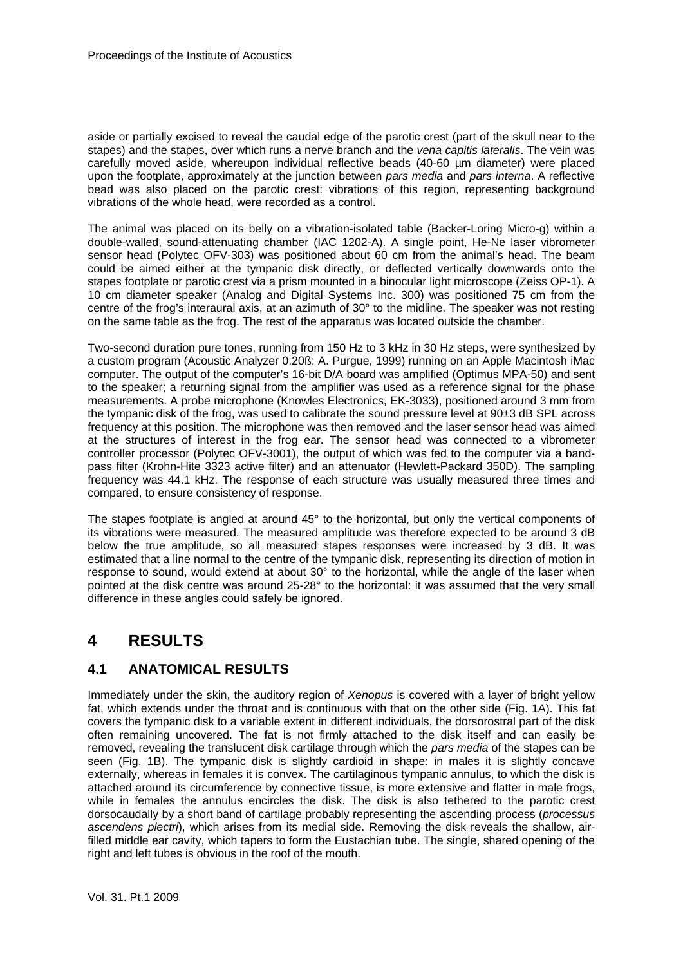aside or partially excised to reveal the caudal edge of the parotic crest (part of the skull near to the stapes) and the stapes, over which runs a nerve branch and the *vena capitis lateralis*. The vein was carefully moved aside, whereupon individual reflective beads (40-60 µm diameter) were placed upon the footplate, approximately at the junction between *pars media* and *pars interna*. A reflective bead was also placed on the parotic crest: vibrations of this region, representing background vibrations of the whole head, were recorded as a control.

The animal was placed on its belly on a vibration-isolated table (Backer-Loring Micro-g) within a double-walled, sound-attenuating chamber (IAC 1202-A). A single point, He-Ne laser vibrometer sensor head (Polytec OFV-303) was positioned about 60 cm from the animal's head. The beam could be aimed either at the tympanic disk directly, or deflected vertically downwards onto the stapes footplate or parotic crest via a prism mounted in a binocular light microscope (Zeiss OP-1). A 10 cm diameter speaker (Analog and Digital Systems Inc. 300) was positioned 75 cm from the centre of the frog's interaural axis, at an azimuth of 30° to the midline. The speaker was not resting on the same table as the frog. The rest of the apparatus was located outside the chamber.

Two-second duration pure tones, running from 150 Hz to 3 kHz in 30 Hz steps, were synthesized by a custom program (Acoustic Analyzer 0.20ß: A. Purgue, 1999) running on an Apple Macintosh iMac computer. The output of the computer's 16-bit D/A board was amplified (Optimus MPA-50) and sent to the speaker; a returning signal from the amplifier was used as a reference signal for the phase measurements. A probe microphone (Knowles Electronics, EK-3033), positioned around 3 mm from the tympanic disk of the frog, was used to calibrate the sound pressure level at 90±3 dB SPL across frequency at this position. The microphone was then removed and the laser sensor head was aimed at the structures of interest in the frog ear. The sensor head was connected to a vibrometer controller processor (Polytec OFV-3001), the output of which was fed to the computer via a bandpass filter (Krohn-Hite 3323 active filter) and an attenuator (Hewlett-Packard 350D). The sampling frequency was 44.1 kHz. The response of each structure was usually measured three times and compared, to ensure consistency of response.

The stapes footplate is angled at around 45° to the horizontal, but only the vertical components of its vibrations were measured. The measured amplitude was therefore expected to be around 3 dB below the true amplitude, so all measured stapes responses were increased by 3 dB. It was estimated that a line normal to the centre of the tympanic disk, representing its direction of motion in response to sound, would extend at about 30° to the horizontal, while the angle of the laser when pointed at the disk centre was around 25-28° to the horizontal: it was assumed that the very small difference in these angles could safely be ignored.

### **4 RESULTS**

#### **4.1 ANATOMICAL RESULTS**

Immediately under the skin, the auditory region of *Xenopus* is covered with a layer of bright yellow fat, which extends under the throat and is continuous with that on the other side (Fig. 1A). This fat covers the tympanic disk to a variable extent in different individuals, the dorsorostral part of the disk often remaining uncovered. The fat is not firmly attached to the disk itself and can easily be removed, revealing the translucent disk cartilage through which the *pars media* of the stapes can be seen (Fig. 1B). The tympanic disk is slightly cardioid in shape: in males it is slightly concave externally, whereas in females it is convex. The cartilaginous tympanic annulus, to which the disk is attached around its circumference by connective tissue, is more extensive and flatter in male frogs, while in females the annulus encircles the disk. The disk is also tethered to the parotic crest dorsocaudally by a short band of cartilage probably representing the ascending process (*processus ascendens plectri*), which arises from its medial side. Removing the disk reveals the shallow, airfilled middle ear cavity, which tapers to form the Eustachian tube. The single, shared opening of the right and left tubes is obvious in the roof of the mouth.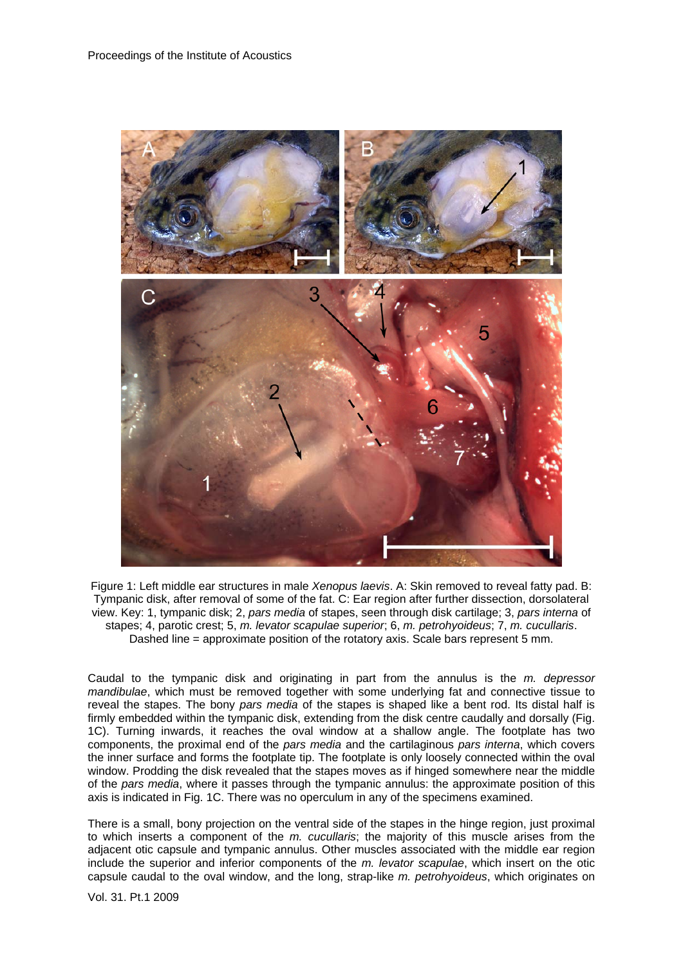

Figure 1: Left middle ear structures in male *Xenopus laevis*. A: Skin removed to reveal fatty pad. B: Tympanic disk, after removal of some of the fat. C: Ear region after further dissection, dorsolateral view. Key: 1, tympanic disk; 2, *pars media* of stapes, seen through disk cartilage; 3, *pars interna* of stapes; 4, parotic crest; 5, *m. levator scapulae superior*; 6, *m. petrohyoideus*; 7, *m. cucullaris*. Dashed line = approximate position of the rotatory axis. Scale bars represent 5 mm.

Caudal to the tympanic disk and originating in part from the annulus is the *m. depressor mandibulae*, which must be removed together with some underlying fat and connective tissue to reveal the stapes. The bony *pars media* of the stapes is shaped like a bent rod. Its distal half is firmly embedded within the tympanic disk, extending from the disk centre caudally and dorsally (Fig. 1C). Turning inwards, it reaches the oval window at a shallow angle. The footplate has two components, the proximal end of the *pars media* and the cartilaginous *pars interna*, which covers the inner surface and forms the footplate tip. The footplate is only loosely connected within the oval window. Prodding the disk revealed that the stapes moves as if hinged somewhere near the middle of the *pars media*, where it passes through the tympanic annulus: the approximate position of this axis is indicated in Fig. 1C. There was no operculum in any of the specimens examined.

There is a small, bony projection on the ventral side of the stapes in the hinge region, just proximal to which inserts a component of the *m. cucullaris*; the majority of this muscle arises from the adjacent otic capsule and tympanic annulus. Other muscles associated with the middle ear region include the superior and inferior components of the *m. levator scapulae*, which insert on the otic capsule caudal to the oval window, and the long, strap-like *m. petrohyoideus*, which originates on

Vol. 31. Pt.1 2009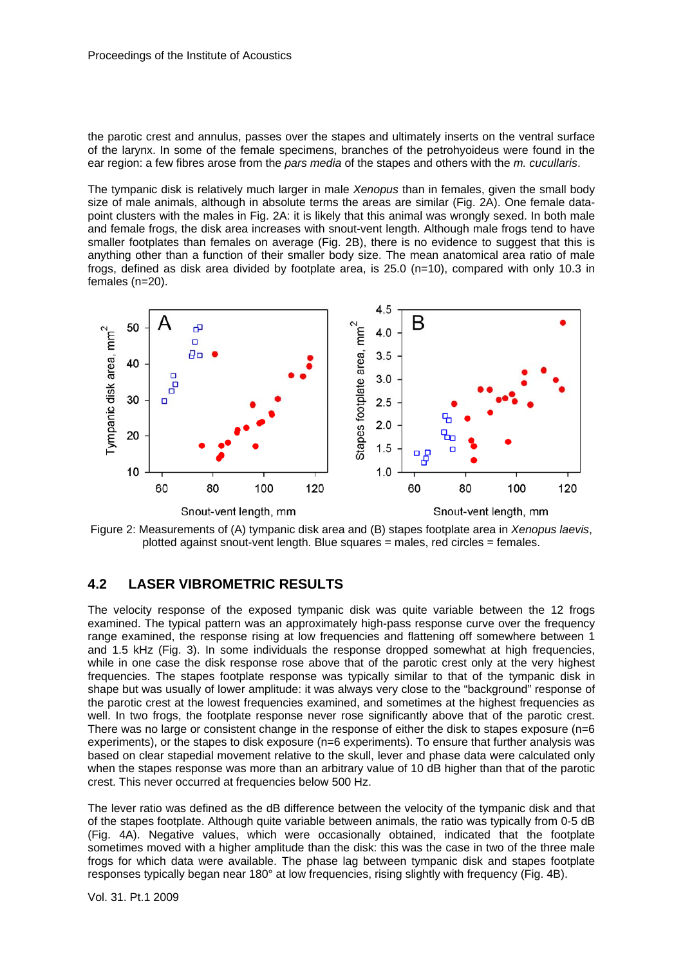the parotic crest and annulus, passes over the stapes and ultimately inserts on the ventral surface of the larynx. In some of the female specimens, branches of the petrohyoideus were found in the ear region: a few fibres arose from the *pars media* of the stapes and others with the *m. cucullaris*.

The tympanic disk is relatively much larger in male *Xenopus* than in females, given the small body size of male animals, although in absolute terms the areas are similar (Fig. 2A). One female datapoint clusters with the males in Fig. 2A: it is likely that this animal was wrongly sexed. In both male and female frogs, the disk area increases with snout-vent length. Although male frogs tend to have smaller footplates than females on average (Fig. 2B), there is no evidence to suggest that this is anything other than a function of their smaller body size. The mean anatomical area ratio of male frogs, defined as disk area divided by footplate area, is 25.0 (n=10), compared with only 10.3 in females (n=20).



Figure 2: Measurements of (A) tympanic disk area and (B) stapes footplate area in *Xenopus laevis*, plotted against snout-vent length. Blue squares = males, red circles = females.

#### **4.2 LASER VIBROMETRIC RESULTS**

The velocity response of the exposed tympanic disk was quite variable between the 12 frogs examined. The typical pattern was an approximately high-pass response curve over the frequency range examined, the response rising at low frequencies and flattening off somewhere between 1 and 1.5 kHz (Fig. 3). In some individuals the response dropped somewhat at high frequencies, while in one case the disk response rose above that of the parotic crest only at the very highest frequencies. The stapes footplate response was typically similar to that of the tympanic disk in shape but was usually of lower amplitude: it was always very close to the "background" response of the parotic crest at the lowest frequencies examined, and sometimes at the highest frequencies as well. In two frogs, the footplate response never rose significantly above that of the parotic crest. There was no large or consistent change in the response of either the disk to stapes exposure (n=6 experiments), or the stapes to disk exposure (n=6 experiments). To ensure that further analysis was based on clear stapedial movement relative to the skull, lever and phase data were calculated only when the stapes response was more than an arbitrary value of 10 dB higher than that of the parotic crest. This never occurred at frequencies below 500 Hz.

The lever ratio was defined as the dB difference between the velocity of the tympanic disk and that of the stapes footplate. Although quite variable between animals, the ratio was typically from 0-5 dB (Fig. 4A). Negative values, which were occasionally obtained, indicated that the footplate sometimes moved with a higher amplitude than the disk: this was the case in two of the three male frogs for which data were available. The phase lag between tympanic disk and stapes footplate responses typically began near 180° at low frequencies, rising slightly with frequency (Fig. 4B).

Vol. 31. Pt.1 2009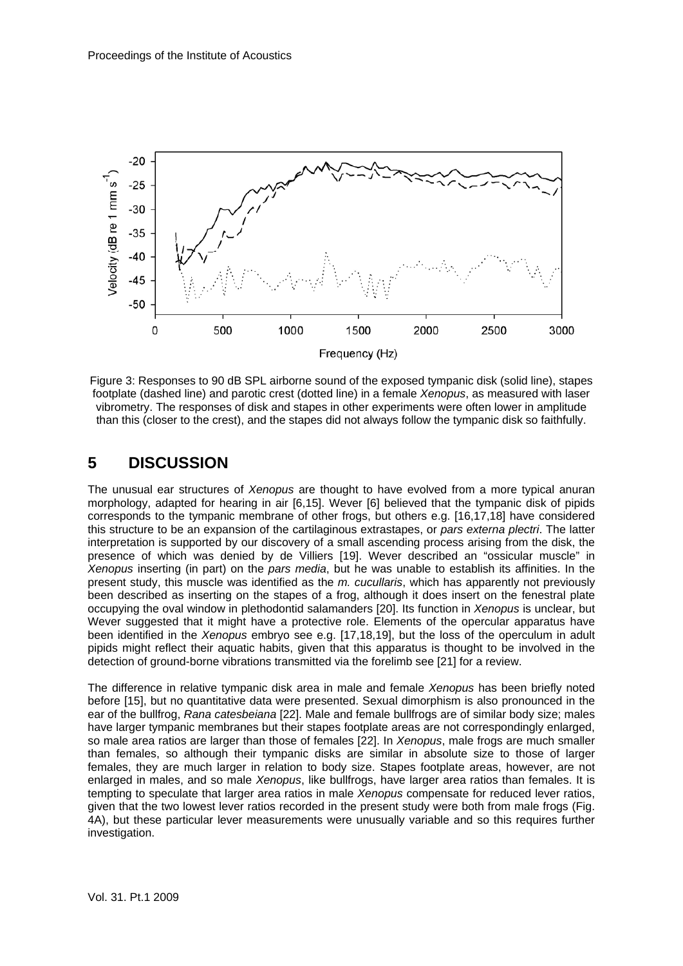

Figure 3: Responses to 90 dB SPL airborne sound of the exposed tympanic disk (solid line), stapes footplate (dashed line) and parotic crest (dotted line) in a female *Xenopus*, as measured with laser vibrometry. The responses of disk and stapes in other experiments were often lower in amplitude than this (closer to the crest), and the stapes did not always follow the tympanic disk so faithfully.

### **5 DISCUSSION**

The unusual ear structures of *Xenopus* are thought to have evolved from a more typical anuran morphology, adapted for hearing in air [6,15]. Wever [6] believed that the tympanic disk of pipids corresponds to the tympanic membrane of other frogs, but others e.g. [16,17,18] have considered this structure to be an expansion of the cartilaginous extrastapes, or *pars externa plectri*. The latter interpretation is supported by our discovery of a small ascending process arising from the disk, the presence of which was denied by de Villiers [19]. Wever described an "ossicular muscle" in *Xenopus* inserting (in part) on the *pars media*, but he was unable to establish its affinities. In the present study, this muscle was identified as the *m. cucullaris*, which has apparently not previously been described as inserting on the stapes of a frog, although it does insert on the fenestral plate occupying the oval window in plethodontid salamanders [20]. Its function in *Xenopus* is unclear, but Wever suggested that it might have a protective role. Elements of the opercular apparatus have been identified in the *Xenopus* embryo see e.g. [17,18,19], but the loss of the operculum in adult pipids might reflect their aquatic habits, given that this apparatus is thought to be involved in the detection of ground-borne vibrations transmitted via the forelimb see [21] for a review.

The difference in relative tympanic disk area in male and female *Xenopus* has been briefly noted before [15], but no quantitative data were presented. Sexual dimorphism is also pronounced in the ear of the bullfrog, *Rana catesbeiana* [22]. Male and female bullfrogs are of similar body size; males have larger tympanic membranes but their stapes footplate areas are not correspondingly enlarged, so male area ratios are larger than those of females [22]. In *Xenopus*, male frogs are much smaller than females, so although their tympanic disks are similar in absolute size to those of larger females, they are much larger in relation to body size. Stapes footplate areas, however, are not enlarged in males, and so male *Xenopus*, like bullfrogs, have larger area ratios than females. It is tempting to speculate that larger area ratios in male *Xenopus* compensate for reduced lever ratios, given that the two lowest lever ratios recorded in the present study were both from male frogs (Fig. 4A), but these particular lever measurements were unusually variable and so this requires further investigation.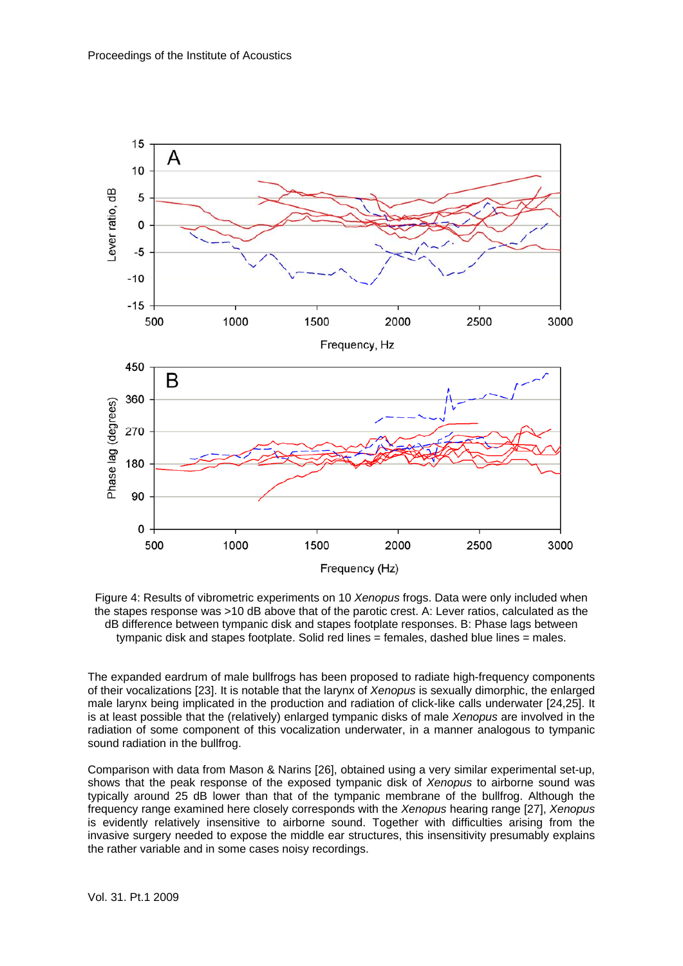

Figure 4: Results of vibrometric experiments on 10 *Xenopus* frogs. Data were only included when the stapes response was >10 dB above that of the parotic crest. A: Lever ratios, calculated as the dB difference between tympanic disk and stapes footplate responses. B: Phase lags between tympanic disk and stapes footplate. Solid red lines = females, dashed blue lines = males.

The expanded eardrum of male bullfrogs has been proposed to radiate high-frequency components of their vocalizations [23]. It is notable that the larynx of *Xenopus* is sexually dimorphic, the enlarged male larynx being implicated in the production and radiation of click-like calls underwater [24,25]. It is at least possible that the (relatively) enlarged tympanic disks of male *Xenopus* are involved in the radiation of some component of this vocalization underwater, in a manner analogous to tympanic sound radiation in the bullfrog.

Comparison with data from Mason & Narins [26], obtained using a very similar experimental set-up, shows that the peak response of the exposed tympanic disk of *Xenopus* to airborne sound was typically around 25 dB lower than that of the tympanic membrane of the bullfrog. Although the frequency range examined here closely corresponds with the *Xenopus* hearing range [27], *Xenopus* is evidently relatively insensitive to airborne sound. Together with difficulties arising from the invasive surgery needed to expose the middle ear structures, this insensitivity presumably explains the rather variable and in some cases noisy recordings.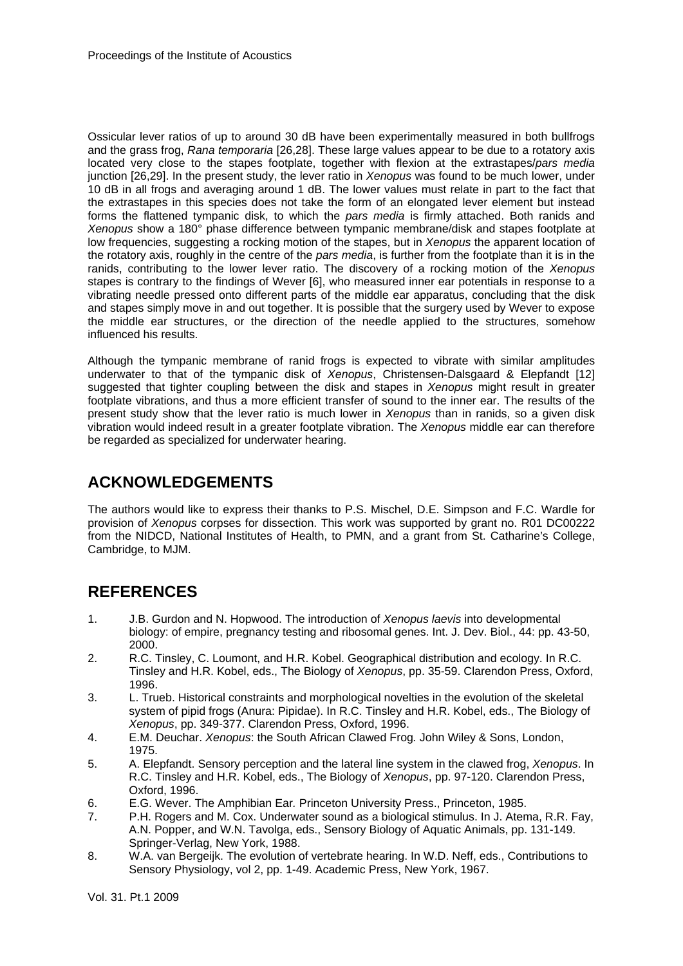Ossicular lever ratios of up to around 30 dB have been experimentally measured in both bullfrogs and the grass frog, *Rana temporaria* [26,28]. These large values appear to be due to a rotatory axis located very close to the stapes footplate, together with flexion at the extrastapes/*pars media* junction [26,29]. In the present study, the lever ratio in *Xenopus* was found to be much lower, under 10 dB in all frogs and averaging around 1 dB. The lower values must relate in part to the fact that the extrastapes in this species does not take the form of an elongated lever element but instead forms the flattened tympanic disk, to which the *pars media* is firmly attached. Both ranids and *Xenopus* show a 180° phase difference between tympanic membrane/disk and stapes footplate at low frequencies, suggesting a rocking motion of the stapes, but in *Xenopus* the apparent location of the rotatory axis, roughly in the centre of the *pars media*, is further from the footplate than it is in the ranids, contributing to the lower lever ratio. The discovery of a rocking motion of the *Xenopus* stapes is contrary to the findings of Wever [6], who measured inner ear potentials in response to a vibrating needle pressed onto different parts of the middle ear apparatus, concluding that the disk and stapes simply move in and out together. It is possible that the surgery used by Wever to expose the middle ear structures, or the direction of the needle applied to the structures, somehow influenced his results.

Although the tympanic membrane of ranid frogs is expected to vibrate with similar amplitudes underwater to that of the tympanic disk of *Xenopus*, Christensen-Dalsgaard & Elepfandt [12] suggested that tighter coupling between the disk and stapes in *Xenopus* might result in greater footplate vibrations, and thus a more efficient transfer of sound to the inner ear. The results of the present study show that the lever ratio is much lower in *Xenopus* than in ranids, so a given disk vibration would indeed result in a greater footplate vibration. The *Xenopus* middle ear can therefore be regarded as specialized for underwater hearing.

# **ACKNOWLEDGEMENTS**

The authors would like to express their thanks to P.S. Mischel, D.E. Simpson and F.C. Wardle for provision of *Xenopus* corpses for dissection. This work was supported by grant no. R01 DC00222 from the NIDCD, National Institutes of Health, to PMN, and a grant from St. Catharine's College, Cambridge, to MJM.

## **REFERENCES**

- 1. J.B. Gurdon and N. Hopwood. The introduction of *Xenopus laevis* into developmental biology: of empire, pregnancy testing and ribosomal genes. Int. J. Dev. Biol., 44: pp. 43-50, 2000.
- 2. R.C. Tinsley, C. Loumont, and H.R. Kobel. Geographical distribution and ecology. In R.C. Tinsley and H.R. Kobel, eds., The Biology of *Xenopus*, pp. 35-59. Clarendon Press, Oxford, 1996.
- 3. L. Trueb. Historical constraints and morphological novelties in the evolution of the skeletal system of pipid frogs (Anura: Pipidae). In R.C. Tinsley and H.R. Kobel, eds., The Biology of *Xenopus*, pp. 349-377. Clarendon Press, Oxford, 1996.
- 4. E.M. Deuchar. *Xenopus*: the South African Clawed Frog*.* John Wiley & Sons, London, 1975.
- 5. A. Elepfandt. Sensory perception and the lateral line system in the clawed frog, *Xenopus*. In R.C. Tinsley and H.R. Kobel, eds., The Biology of *Xenopus*, pp. 97-120. Clarendon Press, Oxford, 1996.
- 6. E.G. Wever. The Amphibian Ear*.* Princeton University Press., Princeton, 1985.
- 7. P.H. Rogers and M. Cox. Underwater sound as a biological stimulus. In J. Atema, R.R. Fay, A.N. Popper, and W.N. Tavolga, eds., Sensory Biology of Aquatic Animals, pp. 131-149. Springer-Verlag, New York, 1988.
- 8. W.A. van Bergeijk. The evolution of vertebrate hearing. In W.D. Neff, eds., Contributions to Sensory Physiology, vol 2, pp. 1-49. Academic Press, New York, 1967.

Vol. 31. Pt.1 2009